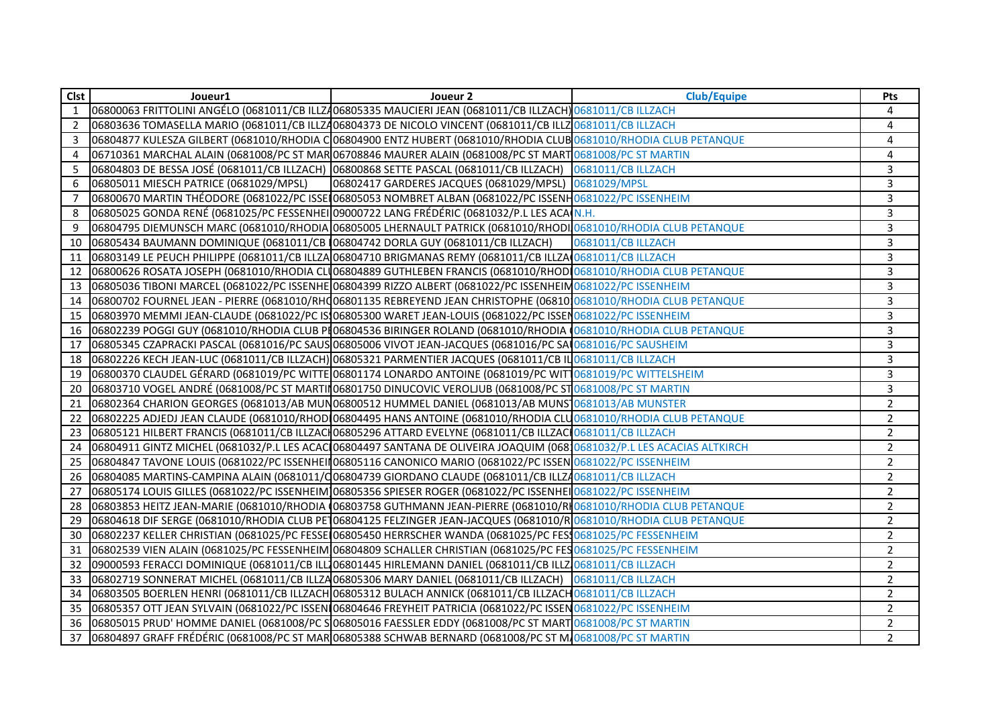| Clst | Joueur1                                                                        | Joueur 2                                                                                                               | <b>Club/Equipe</b> | <b>Pts</b>     |
|------|--------------------------------------------------------------------------------|------------------------------------------------------------------------------------------------------------------------|--------------------|----------------|
| 1    |                                                                                | 06800063 FRITTOLINI ANGÉLO (0681011/CB ILLZ406805335 MAUCIERI JEAN (0681011/CB ILLZACH) 0681011/CB ILLZACH             |                    | 4              |
| 2    |                                                                                | 06803636 TOMASELLA MARIO (0681011/CB ILLZ406804373 DE NICOLO VINCENT (0681011/CB ILLZ0681011/CB ILLZACH                |                    | 4              |
| 3    |                                                                                | 06804877 KULESZA GILBERT (0681010/RHODIA CO6804900 ENTZ HUBERT (0681010/RHODIA CLUBO681010/RHODIA CLUB PETANQUE        |                    | 4              |
| 4    |                                                                                | 06710361 MARCHAL ALAIN (0681008/PC ST MAR 06708846 MAURER ALAIN (0681008/PC ST MART 0681008/PC ST MARTIN               |                    | 4              |
| 5    |                                                                                | 06804803 DE BESSA JOSÉ (0681011/CB ILLZACH) 06800868 SETTE PASCAL (0681011/CB ILLZACH) 0681011/CB ILLZACH              |                    | 3              |
| 6    | 06805011 MIESCH PATRICE (0681029/MPSL)                                         | 06802417 GARDERES JACQUES (0681029/MPSL) 0681029/MPSL                                                                  |                    | 3              |
| 7    |                                                                                | 06800670 MARTIN THÉODORE (0681022/PC ISSE 06805053 NOMBRET ALBAN (0681022/PC ISSENH0681022/PC ISSENHEIM                |                    | 3              |
| 8    |                                                                                | 06805025 GONDA RENÉ (0681025/PC FESSENHEI 09000722 LANG FRÉDÉRIC (0681032/P.L LES ACA N.H.                             |                    | 3              |
| 9    |                                                                                | 06804795 DIEMUNSCH MARC (0681010/RHODIA 06805005 LHERNAULT PATRICK (0681010/RHODI 0681010/RHODIA CLUB PETANQUE         |                    | 3              |
| 10   | 06805434 BAUMANN DOMINIQUE (0681011/CB 06804742 DORLA GUY (0681011/CB ILLZACH) |                                                                                                                        | 0681011/CB ILLZACH | 3              |
| 11   |                                                                                | 06803149 LE PEUCH PHILIPPE (0681011/CB ILLZA 06804710 BRIGMANAS REMY (0681011/CB ILLZA 0681011/CB ILLZACH              |                    | $\overline{3}$ |
| 12   |                                                                                | 06800626 ROSATA JOSEPH (0681010/RHODIA CLI06804889 GUTHLEBEN FRANCIS (0681010/RHODI0681010/RHODIA CLUB PETANQUE        |                    | $\overline{3}$ |
|      |                                                                                | 13 06805036 TIBONI MARCEL (0681022/PC ISSENHE 06804399 RIZZO ALBERT (0681022/PC ISSENHEIM 0681022/PC ISSENHEIM         |                    | 3              |
| 14   |                                                                                | 06800702 FOURNEL JEAN - PIERRE (0681010/RHQ06801135 REBREYEND JEAN CHRISTOPHE (0681000681010/RHODIA CLUB PETANQUE      |                    | $\overline{3}$ |
| 15   |                                                                                | 06803970 MEMMI JEAN-CLAUDE (0681022/PC IS106805300 WARET JEAN-LOUIS (0681022/PC ISSEN0681022/PC ISSENHEIM              |                    | 3              |
| 16   |                                                                                | 06802239 POGGI GUY (0681010/RHODIA CLUB PI06804536 BIRINGER ROLAND (0681010/RHODIA (0681010/RHODIA CLUB PETANQUE       |                    | 3              |
| 17   |                                                                                | 06805345 CZAPRACKI PASCAL (0681016/PC SAUS 06805006 VIVOT JEAN-JACQUES (0681016/PC SA 0681016/PC SAUSHEIM              |                    | 3              |
| 18   |                                                                                | 06802226 KECH JEAN-LUC (0681011/CB ILLZACH) 06805321 PARMENTIER JACQUES (0681011/CB IL 0681011/CB ILLZACH              |                    | 3              |
| 19   |                                                                                | 06800370 CLAUDEL GÉRARD (0681019/PC WITTE 06801174 LONARDO ANTOINE (0681019/PC WITT0681019/PC WITTELSHEIM              |                    | 3              |
| 20   |                                                                                | 06803710 VOGEL ANDRÉ (0681008/PC ST MARTIN 06801750 DINUCOVIC VEROLJUB (0681008/PC ST 0681008/PC ST MARTIN             |                    | 3              |
| 21   |                                                                                | 06802364 CHARION GEORGES (0681013/AB MUN06800512 HUMMEL DANIEL (0681013/AB MUNS10681013/AB MUNSTER                     |                    | $\overline{2}$ |
| 22   |                                                                                | 06802225 ADJEDJ JEAN CLAUDE (0681010/RHOD 06804495 HANS ANTOINE (0681010/RHODIA CLU 0681010/RHODIA CLUB PETANQUE       |                    | $\overline{2}$ |
| 23   |                                                                                | 06805121 HILBERT FRANCIS (0681011/CB ILLZACH06805296 ATTARD EVELYNE (0681011/CB ILLZACH0681011/CB ILLZACH              |                    | $\overline{2}$ |
| 24   |                                                                                | 06804911 GINTZ MICHEL (0681032/P.L LES ACAC 06804497 SANTANA DE OLIVEIRA JOAQUIM (06810681032/P.L LES ACACIAS ALTKIRCH |                    | $\overline{2}$ |
| 25   |                                                                                | 06804847 TAVONE LOUIS (0681022/PC ISSENHEIN 06805116 CANONICO MARIO (0681022/PC ISSEN 0681022/PC ISSENHEIM             |                    | $\overline{2}$ |
| 26   |                                                                                | 06804085 MARTINS-CAMPINA ALAIN (0681011/Q06804739 GIORDANO CLAUDE (0681011/CB ILLZA0681011/CB ILLZACH                  |                    | $\overline{2}$ |
| 27   |                                                                                | 06805174 LOUIS GILLES (0681022/PC ISSENHEIM 06805356 SPIESER ROGER (0681022/PC ISSENHEI 0681022/PC ISSENHEIM           |                    | $\overline{2}$ |
| 28   |                                                                                | 06803853 HEITZ JEAN-MARIE (0681010/RHODIA (06803758 GUTHMANN JEAN-PIERRE (0681010/RHO681010/RHODIA CLUB PETANQUE       |                    | $\overline{2}$ |
| 29   |                                                                                | 06804618 DIF SERGE (0681010/RHODIA CLUB PE106804125 FELZINGER JEAN-JACQUES (0681010/R 0681010/RHODIA CLUB PETANQUE     |                    | $\overline{2}$ |
| 30   |                                                                                | 06802237 KELLER CHRISTIAN (0681025/PC FESSE 06805450 HERRSCHER WANDA (0681025/PC FESS0681025/PC FESSENHEIM             |                    | $\overline{2}$ |
| 31   |                                                                                | 06802539 VIEN ALAIN (0681025/PC FESSENHEIM 06804809 SCHALLER CHRISTIAN (0681025/PC FES0681025/PC FESSENHEIM            |                    | $\overline{2}$ |
| 32   |                                                                                | 09000593 FERACCI DOMINIQUE (0681011/CB ILL106801445 HIRLEMANN DANIEL (0681011/CB ILLZ10681011/CB ILLZACH               |                    | $\overline{2}$ |
| 33   |                                                                                | 06802719 SONNERAT MICHEL (0681011/CB ILLZA06805306 MARY DANIEL (0681011/CB ILLZACH) 0681011/CB ILLZACH                 |                    | $\overline{2}$ |
| 34   |                                                                                | 06803505 BOERLEN HENRI (0681011/CB ILLZACH 06805312 BULACH ANNICK (0681011/CB ILLZACH 0681011/CB ILLZACH               |                    | $\overline{2}$ |
| 35   |                                                                                | 06805357 OTT JEAN SYLVAIN (0681022/PC ISSEN 06804646 FREYHEIT PATRICIA (0681022/PC ISSEN 0681022/PC ISSENHEIM          |                    | $\overline{2}$ |
| 36   |                                                                                | 06805015 PRUD' HOMME DANIEL (0681008/PC S06805016 FAESSLER EDDY (0681008/PC ST MART 0681008/PC ST MARTIN               |                    | $\overline{2}$ |
| 37   |                                                                                | 06804897 GRAFF FRÉDÉRIC (0681008/PC ST MAR 06805388 SCHWAB BERNARD (0681008/PC ST M 0681008/PC ST MARTIN               |                    | $\overline{2}$ |